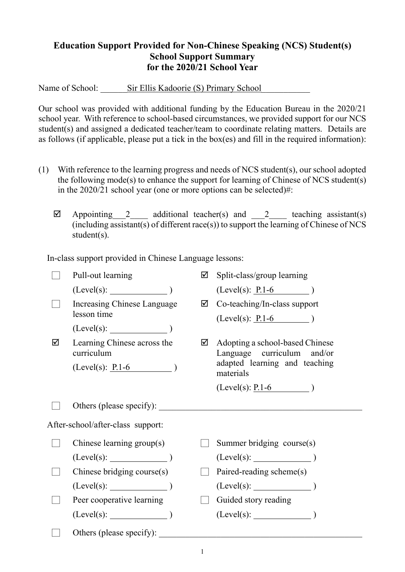## **Education Support Provided for Non-Chinese Speaking (NCS) Student(s) School Support Summary for the 2020/21 School Year**

Name of School: Sir Ellis Kadoorie (S) Primary School

Our school was provided with additional funding by the Education Bureau in the 2020/21 school year. With reference to school-based circumstances, we provided support for our NCS student(s) and assigned a dedicated teacher/team to coordinate relating matters. Details are as follows (if applicable, please put a tick in the box(es) and fill in the required information):

- (1) With reference to the learning progress and needs of NCS student(s), our school adopted the following mode(s) to enhance the support for learning of Chinese of NCS student(s) in the 2020/21 school year (one or more options can be selected)#:
	- $\boxtimes$  Appointing 2 additional teacher(s) and 2 teaching assistant(s) (including assistant(s) of different race(s)) to support the learning of Chinese of NCS student(s).

In-class support provided in Chinese Language lessons:

|                                   | Pull-out learning                         | ☑ | Split-class/group learning                                    |
|-----------------------------------|-------------------------------------------|---|---------------------------------------------------------------|
|                                   | (Level(s):                                |   | $(Level(s): P.1-6)$                                           |
|                                   | Increasing Chinese Language               | ☑ | Co-teaching/In-class support                                  |
|                                   | lesson time                               |   | $(Level(s): P.1-6)$                                           |
|                                   | $(Level(s):$ $)$                          |   |                                                               |
| ☑                                 | Learning Chinese across the<br>curriculum | ☑ | Adopting a school-based Chinese<br>Language curriculum and/or |
|                                   | $(Level(s): P.1-6)$                       |   | adapted learning and teaching<br>materials                    |
|                                   |                                           |   | $(Level(s): \underline{P.1-6})$                               |
|                                   | Others (please specify):                  |   |                                                               |
| After-school/after-class support: |                                           |   |                                                               |
|                                   | Chinese learning group(s)                 |   | Summer bridging course(s)                                     |
|                                   | (Level(s):                                |   | $(Level(s):$ $)$                                              |
|                                   | Chinese bridging course(s)                |   | Paired-reading scheme(s)                                      |
|                                   | (Level(s):                                |   |                                                               |
|                                   | Peer cooperative learning                 |   | Guided story reading                                          |
|                                   | (Level(s):                                |   | $(Level(s):$ (Level(s):                                       |
|                                   | Others (please specify):                  |   |                                                               |